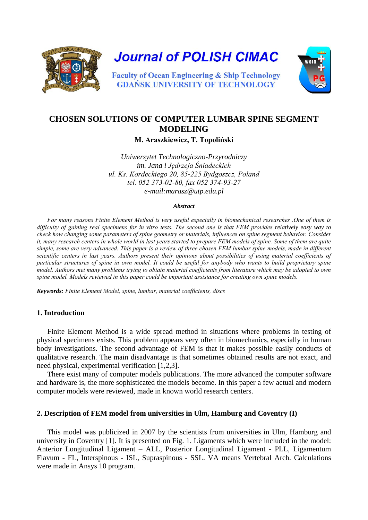

**Journal of POLISH CIMAC** 



**Faculty of Ocean Engineering & Ship Technology GDANSK UNIVERSITY OF TECHNOLOGY** 

# **CHOSEN SOLUTIONS OF COMPUTER LUMBAR SPINE SEGMENT MODELING**

**M. Araszkiewicz, T. Topoliński**

*Uniwersytet Technologiczno-Przyrodniczy im. Jana i Jędrzeja Śniadeckich ul. Ks. Kordeckiego 20, 85-225 Bydgoszcz, Poland tel. 052 373-02-80, fax 052 374-93-27 e-mail:marasz@utp.edu.pl* 

#### *Abstract*

*For many reasons Finite Element Method is very useful especially in biomechanical researches .One of them is difficulty of gaining real specimens for in vitro tests. The second one is that FEM provides relatively easy way to check how changing some parameters of spine geometry or materials, influences on spine segment behavior. Consider it, many research centers in whole world in last years started to prepare FEM models of spine. Some of them are quite simple, some are very advanced. This paper is a review of three chosen FEM lumbar spine models, made in different scientific centers in last years. Authors present their opinions about possibilities of using material coefficients of particular structures of spine in own model. It could be useful for anybody who wants to build proprietary spine model. Authors met many problems trying to obtain material coefficients from literature which may be adopted to own spine model. Models reviewed in this paper could be important assistance for creating own spine models.*

*Keywords: Finite Element Model, spine, lumbar, material coefficients, discs*

### **1. Introduction**

Finite Element Method is a wide spread method in situations where problems in testing of physical specimens exists. This problem appears very often in biomechanics, especially in human body investigations. The second advantage of FEM is that it makes possible easily conducts of qualitative research. The main disadvantage is that sometimes obtained results are not exact, and need physical, experimental verification [1,2,3].

There exist many of computer models publications. The more advanced the computer software and hardware is, the more sophisticated the models become. In this paper a few actual and modern computer models were reviewed, made in known world research centers.

### **2. Description of FEM model from universities in Ulm, Hamburg and Coventry (I)**

This model was publicized in 2007 by the scientists from universities in Ulm, Hamburg and university in Coventry [1]. It is presented on Fig. 1. Ligaments which were included in the model: Anterior Longitudinal Ligament – ALL, Posterior Longitudinal Ligament - PLL, Ligamentum Flavum - FL, Interspinous - ISL, Supraspinous - SSL. VA means Vertebral Arch. Calculations were made in Ansys 10 program.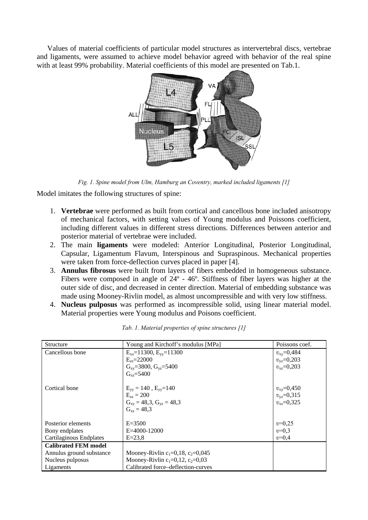Values of material coefficients of particular model structures as intervertebral discs, vertebrae and ligaments, were assumed to achieve model behavior agreed with behavior of the real spine with at least 99% probability. Material coefficients of this model are presented on Tab.1.



*Fig. 1. Spine model from Ulm, Hamburg an Coventry, marked included ligaments [1]*

Model imitates the following structures of spine:

- 1. **Vertebrae** were performed as built from cortical and cancellous bone included anisotropy of mechanical factors, with setting values of Young modulus and Poissons coefficient, including different values in different stress directions. Differences between anterior and posterior material of vertebrae were included.
- 2. The main **ligaments** were modeled: Anterior Longitudinal, Posterior Longitudinal, Capsular, Ligamentum Flavum, Interspinous and Supraspinous. Mechanical properties were taken from force-deflection curves placed in paper [4].
- 3. **Annulus fibrosus** were built from layers of fibers embedded in homogeneous substance. Fibers were composed in angle of 24º - 46º. Stiffness of fiber layers was higher at the outer side of disc, and decreased in center direction. Material of embedding substance was made using Mooney-Rivlin model, as almost uncompressible and with very low stiffness.
- 4. **Nucleus pulposus** was performed as incompressible solid, using linear material model. Material properties were Young modulus and Poisons coefficient.

| Structure                   | Young and Kirchoff's modulus [MPa]  | Poissons coef.                       |
|-----------------------------|-------------------------------------|--------------------------------------|
| Cancellous bone             | $E_{xx}$ =11300, $E_{yy}$ =11300    | $v_{\rm xv} = 0.484$                 |
|                             | $E_{zz} = 22000$                    | $v_{\rm vz} = 0,203$                 |
|                             | $G_{xy} = 3800, G_{yz} = 5400$      | $v_{xz} = 0.203$                     |
|                             | $G_{vz} = 5400$                     |                                      |
| Cortical bone               | $E_{yy} = 140$ , $E_{yy} = 140$     |                                      |
|                             | $E_{zz} = 200$                      | $v_{xy} = 0,450$<br>$v_{yz} = 0,315$ |
|                             | $G_{xy} = 48,3, G_{yz} = 48,3$      | $v_{xz} = 0.325$                     |
|                             | $G_{yz} = 48.3$                     |                                      |
| Posterior elements          | $E = 3500$                          | $v=0.25$                             |
| Bony endplates              | $E = 4000 - 12000$                  | $v=0.3$                              |
| Cartilaginous Endplates     | $E = 23.8$                          | $v=0,4$                              |
| <b>Calibrated FEM model</b> |                                     |                                      |
| Annulus ground substance    | Mooney-Rivlin $c_1=0,18, c_2=0,045$ |                                      |
| Nucleus pulposus            | Mooney-Rivlin $c_1=0,12, c_2=0,03$  |                                      |
| Ligaments                   | Calibrated force-deflection-curves  |                                      |

*Tab. 1. Material properties of spine structures [1]*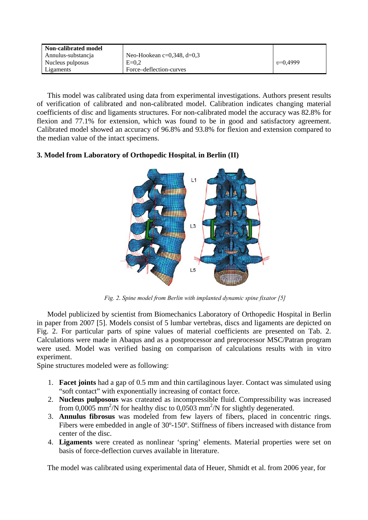| Non-calibrated model |                            |            |
|----------------------|----------------------------|------------|
| Annulus-substancia   | Neo-Hookean c=0,348, d=0,3 |            |
| Nucleus pulposus     | $E=0.2$                    | $v=0.4999$ |
| Ligaments            | Force–deflection-curves    |            |

This model was calibrated using data from experimental investigations. Authors present results of verification of calibrated and non-calibrated model. Calibration indicates changing material coefficients of disc and ligaments structures. For non-calibrated model the accuracy was 82.8% for flexion and 77.1% for extension, which was found to be in good and satisfactory agreement. Calibrated model showed an accuracy of 96.8% and 93.8% for flexion and extension compared to the median value of the intact specimens.

# **3. Model from Laboratory of Orthopedic Hospital, in Berlin (II)**



*Fig. 2. Spine model from Berlin with implanted dynamic spine fixator [5]*

Model publicized by scientist from Biomechanics Laboratory of Orthopedic Hospital in Berlin in paper from 2007 [5]. Models consist of 5 lumbar vertebras, discs and ligaments are depicted on Fig. 2. For particular parts of spine values of material coefficients are presented on Tab. 2. Calculations were made in Abaqus and as a postprocessor and preprocessor MSC/Patran program were used. Model was verified basing on comparison of calculations results with in vitro experiment.

Spine structures modeled were as following:

- 1. **Facet joints** had a gap of 0.5 mm and thin cartilaginous layer. Contact was simulated using "soft contact" with exponentially increasing of contact force.
- 2. **Nucleus pulposous** was crateated as incompressible fluid. Compressibility was increased from 0,0005 mm<sup>2</sup>/N for healthy disc to 0,0503 mm<sup>2</sup>/N for slightly degenerated.
- 3. **Annulus fibrosus** was modeled from few layers of fibers, placed in concentric rings. Fibers were embedded in angle of 30º-150º. Stiffness of fibers increased with distance from center of the disc.
- 4. **Ligaments** were created as nonlinear 'spring' elements. Material properties were set on basis of force-deflection curves available in literature.

The model was calibrated using experimental data of Heuer, Shmidt et al. from 2006 year, for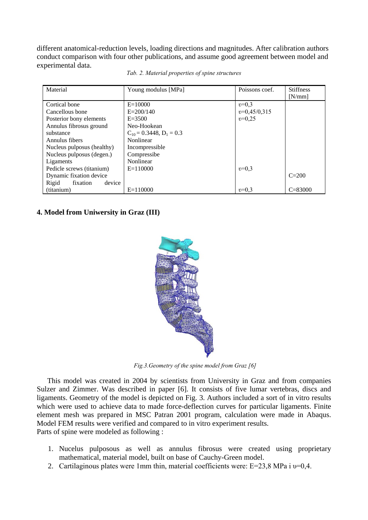different anatomical-reduction levels, loading directions and magnitudes. After calibration authors conduct comparison with four other publications, and assume good agreement between model and experimental data.

| Material                    | Young modulus [MPa]          | Poissons coef. | <b>Stiffness</b> |
|-----------------------------|------------------------------|----------------|------------------|
|                             |                              |                | [N/mm]           |
| Cortical bone               | $E = 10000$                  | $v=0.3$        |                  |
| Cancellous bone             | $E = 200/140$                | $v=0,45/0,315$ |                  |
| Posterior bony elements     | $E = 3500$                   | $v=0.25$       |                  |
| Annulus fibrosus ground     | Neo-Hookean                  |                |                  |
| substance                   | $C_{10} = 0.3448, D_1 = 0.3$ |                |                  |
| Annulus fibers              | Nonlinear                    |                |                  |
| Nucleus pulposus (healthy)  | Incompressible               |                |                  |
| Nucleus pulposus (degen.)   | Compressibe                  |                |                  |
| Ligaments                   | Nonlinear                    |                |                  |
| Pedicle screws (titanium)   | $E=110000$                   | $v=0.3$        |                  |
| Dynamic fixation device     |                              |                | $C = 200$        |
| device<br>Rigid<br>fixation |                              |                |                  |
| (titanium)                  | $E=110000$                   | $v=0.3$        | $C = 83000$      |

|  | Tab. 2. Material properties of spine structures |  |
|--|-------------------------------------------------|--|
|  |                                                 |  |

## **4. Model from Uniwersity in Graz (III)**



*Fig.3.Geometry of the spine model from Graz [6]*

This model was created in 2004 by scientists from University in Graz and from companies Sulzer and Zimmer. Was described in paper [6]. It consists of five lumar vertebras, discs and ligaments. Geometry of the model is depicted on Fig. 3. Authors included a sort of in vitro results which were used to achieve data to made force-deflection curves for particular ligaments. Finite element mesh was prepared in MSC Patran 2001 program, calculation were made in Abaqus. Model FEM results were verified and compared to in vitro experiment results. Parts of spine were modeled as following :

- 1. Nucelus pulposous as well as annulus fibrosus were created using proprietary mathematical, material model, built on base of Cauchy-Green model.
- 2. Cartilaginous plates were 1mm thin, material coefficients were: E=23,8 MPa i υ=0,4.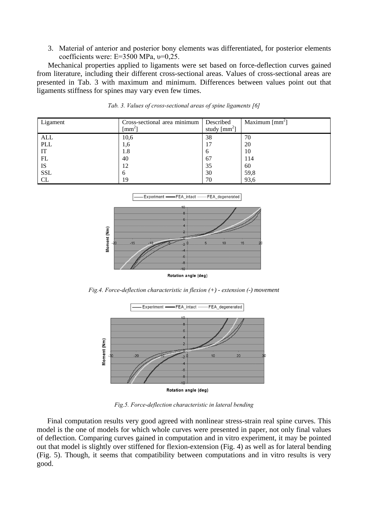3. Materiał of anterior and posterior bony elements was differentiated, for posterior elements coefficients were: E=3500 MPa, υ=0,25.

Mechanical properties applied to ligaments were set based on force-deflection curves gained from literature, including their different cross-sectional areas. Values of cross-sectional areas are presented in Tab. 3 with maximum and minimum. Differences between values point out that ligaments stiffness for spines may vary even few times.

| Ligament   | Cross-sectional area minimum<br>$\lceil$ mm <sup>2</sup> $\rceil$ | Described<br>study $\text{[mm}^2\text{]}$ | Maximum $\text{[mm]}$ |
|------------|-------------------------------------------------------------------|-------------------------------------------|-----------------------|
| <b>ALL</b> | 10,6                                                              | 38                                        | 70                    |
| <b>PLL</b> | 1,6                                                               | 17                                        | 20                    |
| IT         | 1.8                                                               | O                                         | 10                    |
| FL         | 40                                                                | 67                                        | 114                   |
| IS         | 12                                                                | 35                                        | 60                    |
| <b>SSL</b> | O                                                                 | 30                                        | 59,8                  |
| CL         | 19                                                                | 70                                        | 93,6                  |

*Tab. 3. Values of cross-sectional areas of spine ligaments [6]*



*Fig.4. Force-deflection characteristic in flexion (+) - extension (-) movement*



*Fig.5. Force-deflection characteristic in lateral bending*

Final computation results very good agreed with nonlinear stress-strain real spine curves. This model is the one of models for which whole curves were presented in paper, not only final values of deflection. Comparing curves gained in computation and in vitro experiment, it may be pointed out that model is slightly over stiffened for flexion-extension (Fig. 4) as well as for lateral bending (Fig. 5). Though, it seems that compatibility between computations and in vitro results is very good.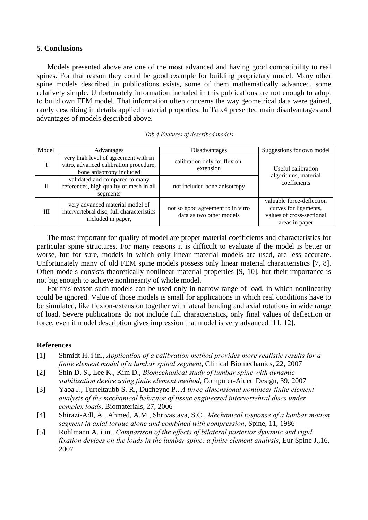### **5. Conclusions**

Models presented above are one of the most advanced and having good compatibility to real spines. For that reason they could be good example for building proprietary model. Many other spine models described in publications exists, some of them mathematically advanced, some relatively simple. Unfortunately information included in this publications are not enough to adopt to build own FEM model. That information often concerns the way geometrical data were gained, rarely describing in details applied material properties. In Tab.4 presented main disadvantages and advantages of models described above.

| Model | Advantages                                                                                                 | Disadvantages                                                 | Suggestions for own model                                                                         |  |
|-------|------------------------------------------------------------------------------------------------------------|---------------------------------------------------------------|---------------------------------------------------------------------------------------------------|--|
|       | very high level of agreement with in<br>vitro, advanced calibration procedure,<br>bone anisotropy included | calibration only for flexion-<br>extension                    | Useful calibration                                                                                |  |
| Н     | validated and compared to many<br>references, high quality of mesh in all<br>segments                      | not included bone anisotropy                                  | algorithms, material<br>coefficients                                                              |  |
| III   | very advanced material model of<br>intervertebral disc, full characteristics<br>included in paper,         | not so good agreement to in vitro<br>data as two other models | valuable force-deflection<br>curves for ligaments,<br>values of cross-sectional<br>areas in paper |  |

#### *Tab.4 Features of described models*

The most important for quality of model are proper material coefficients and characteristics for particular spine structures. For many reasons it is difficult to evaluate if the model is better or worse, but for sure, models in which only linear material models are used, are less accurate. Unfortunately many of old FEM spine models possess only linear material characteristics [7, 8]. Often models consists theoretically nonlinear material properties [9, 10], but their importance is not big enough to achieve nonlinearity of whole model.

For this reason such models can be used only in narrow range of load, in which nonlinearity could be ignored. Value of those models is small for applications in which real conditions have to be simulated, like flexion-extension together with lateral bending and axial rotations in wide range of load. Severe publications do not include full characteristics, only final values of deflection or force, even if model description gives impression that model is very advanced [11, 12].

### **References**

- [1] Shmidt H. i in., *Application of a calibration method provides more realistic results for a finite element model of a lumbar spinal segment*, Clinical Biomechanics, 22, 2007
- [2] Shin D. S., Lee K., Kim D., *Biomechanical study of lumbar spine with dynamic stabilization device using finite element method*, Computer-Aided Design, 39, 2007
- [3] Yaoa J., Turteltaubb S. R., Ducheyne P., *A three-dimensional nonlinear finite element analysis of the mechanical behavior of tissue engineered intervertebral discs under complex loads*, Biomaterials, 27, 2006
- [4] Shirazi-Adl, A., Ahmed, A.M., Shrivastava, S.C., *Mechanical response of a lumbar motion segment in axial torque alone and combined with compression*, Spine, 11, 1986
- [5] Rohlmann A. i in., *Comparison of the effects of bilateral posterior dynamic and rigid fixation devices on the loads in the lumbar spine: a finite element analysis*, Eur Spine J.,16, 2007